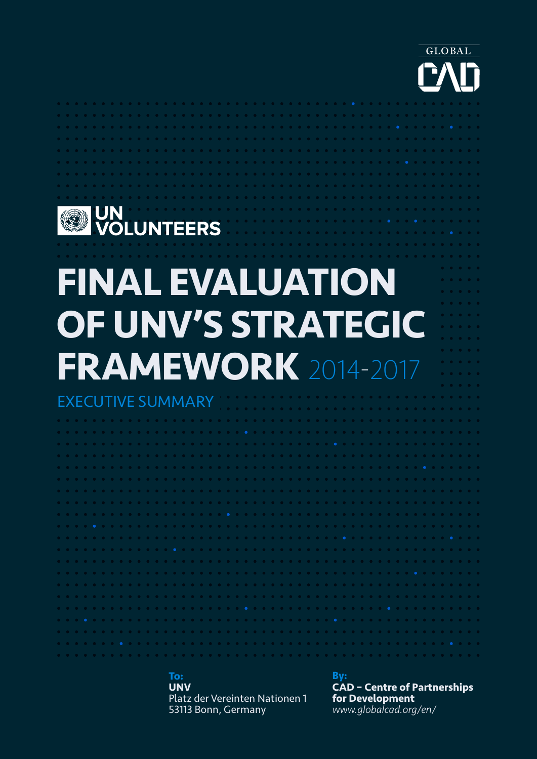

### **WED UN<br>WOLUNTEERS FINAL EVALUATION OF UNV'S STRATEGIC FRAMEWORK** 2014-2017 EXECUTIVE SUMMARY

**To: UNV** Platz der Vereinten Nationen 1 53113 Bonn, Germany

**By:**

**CAD – Centre of Partnerships for Development** *www.globalcad.org/en/*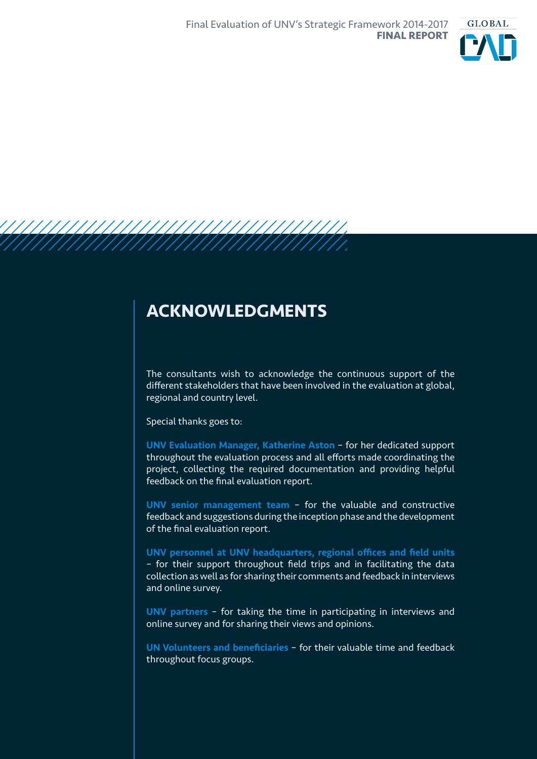

### **ACKNOWLEDGMENTS**

The consultants wish to acknowledge the continuous support of the different stakeholders that have been involved in the evaluation at global, regional and country level.

Special thanks goes to:

UNV Evaluation Manager, Katherine Aston – for her dedicated support throughout the evaluation process and all efforts made coordinating the project, collecting the required documentation and providing helpful feedback on the final evaluation report.

UNV senior management team – for the valuable and constructive feedback and suggestions during the inception phase and the development of the final evaluation report.

UNV personnel at UNV headquarters, regional offices and field units – for their support throughout field trips and in facilitating the data collection as well as for sharing their comments and feedback in interviews and online survey.

UNV partners – for taking the time in participating in interviews and online survey and for sharing their views and opinions.

UN Volunteers and beneficiaries – for their valuable time and feedback throughout focus groups.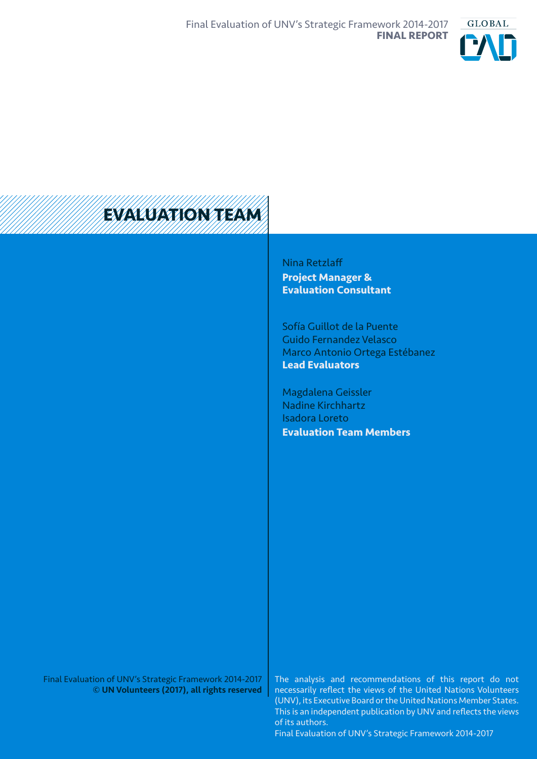



Nina Retzlaff **Project Manager & Evaluation Consultant**

Sofía Guillot de la Puente Guido Fernandez Velasco Marco Antonio Ortega Estébanez **Lead Evaluators**

Magdalena Geissler Nadine Kirchhartz Isadora Loreto **Evaluation Team Members**

Final Evaluation of UNV's Strategic Framework 2014-2017 © UN Volunteers (2017), all rights reserved

The analysis and recommendations of this report do not necessarily reflect the views of the United Nations Volunteers (UNV), its Executive Board or the United Nations Member States. This is an independent publication by UNV and reflects the views of its authors.

Final Evaluation of UNV's Strategic Framework 2014-2017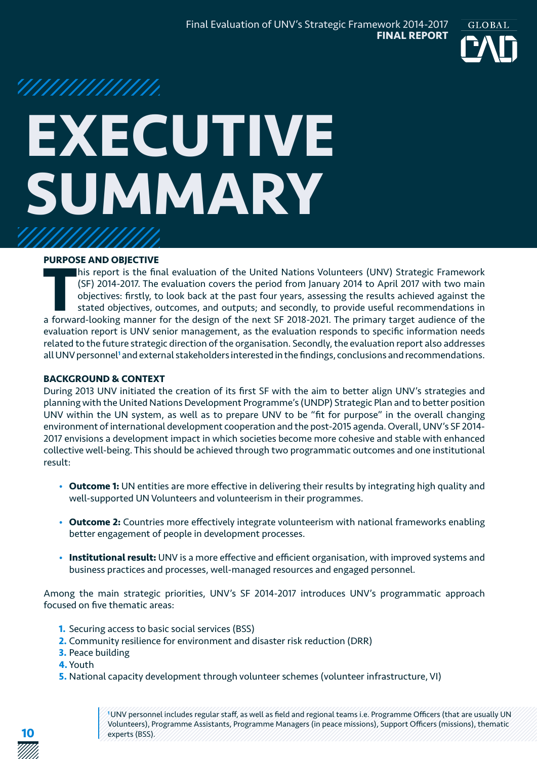

## '/////////////// **EXECUTIVE SUMMARY**

#### **PURPOSE AND OBJECTIVE**

**THE FRACK CONSIST IS FOREY AND THE EXERCT CONSISTENT OF THE EVALUATION CONSIST OF 2014-2017. The evaluation covers the period from January 2014 to April 2017 with two main objectives: firstly, to look back at the past fou** his report is the final evaluation of the United Nations Volunteers (UNV) Strategic Framework (SF) 2014-2017. The evaluation covers the period from January 2014 to April 2017 with two main objectives: firstly, to look back at the past four years, assessing the results achieved against the stated objectives, outcomes, and outputs; and secondly, to provide useful recommendations in evaluation report is UNV senior management, as the evaluation responds to specific information needs related to the future strategic direction of the organisation. Secondly, the evaluation report also addresses all UNV personnel<sup>1</sup> and external stakeholders interested in the findings, conclusions and recommendations.

#### **BACKGROUND & CONTEXT**

During 2013 UNV initiated the creation of its first SF with the aim to better align UNV's strategies and planning with the United Nations Development Programme's (UNDP) Strategic Plan and to better position UNV within the UN system, as well as to prepare UNV to be "fit for purpose" in the overall changing environment of international development cooperation and the post-2015 agenda. Overall, UNV's SF 2014- 2017 envisions a development impact in which societies become more cohesive and stable with enhanced collective well-being. This should be achieved through two programmatic outcomes and one institutional result:

- **Outcome 1:** UN entities are more effective in delivering their results by integrating high quality and well-supported UN Volunteers and volunteerism in their programmes.
- **Outcome 2:** Countries more effectively integrate volunteerism with national frameworks enabling better engagement of people in development processes.
- **Institutional result:** UNV is a more effective and efficient organisation, with improved systems and business practices and processes, well-managed resources and engaged personnel.

Among the main strategic priorities, UNV's SF 2014-2017 introduces UNV's programmatic approach focused on five thematic areas:

- **1.** Securing access to basic social services (BSS)
- **2.** Community resilience for environment and disaster risk reduction (DRR)
- **3.** Peace building
- **4.** Youth
- **5.** National capacity development through volunteer schemes (volunteer infrastructure, VI)

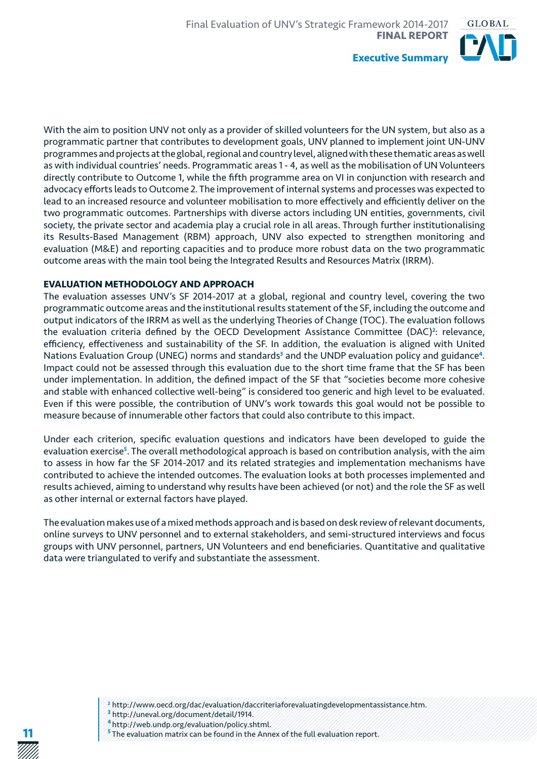

With the aim to position UNV not only as a provider of skilled volunteers for the UN system, but also as a programmatic partner that contributes to development goals, UNV planned to implement joint UN-UNV programmes and projects at the global, regional and country level, aligned with these thematic areas as well as with individual countries' needs. Programmatic areas 1 - 4, as well as the mobilisation of UN Volunteers directly contribute to Outcome 1, while the fifth programme area on VI in conjunction with research and advocacy efforts leads to Outcome 2. The improvement of internal systems and processes was expected to lead to an increased resource and volunteer mobilisation to more effectively and efficiently deliver on the two programmatic outcomes. Partnerships with diverse actors including UN entities, governments, civil society, the private sector and academia play a crucial role in all areas. Through further institutionalising its Results-Based Management (RBM) approach, UNV also expected to strengthen monitoring and evaluation (M&E) and reporting capacities and to produce more robust data on the two programmatic outcome areas with the main tool being the Integrated Results and Resources Matrix (IRRM).

#### **EVALUATION METHODOLOGY AND APPROACH**

The evaluation assesses UNV's SF 2014-2017 at a global, regional and country level, covering the two programmatic outcome areas and the institutional results statement of the SF, including the outcome and output indicators of the IRRM as well as the underlying Theories of Change (TOC). The evaluation follows the evaluation criteria defined by the OECD Development Assistance Committee (DAC)<sup>2</sup>: relevance, efficiency, effectiveness and sustainability of the SF. In addition, the evaluation is aligned with United Nations Evaluation Group (UNEG) norms and standards**<sup>3</sup>** and the UNDP evaluation policy and guidance**<sup>4</sup>**. Impact could not be assessed through this evaluation due to the short time frame that the SF has been under implementation. In addition, the defined impact of the SF that "societies become more cohesive and stable with enhanced collective well-being" is considered too generic and high level to be evaluated. Even if this were possible, the contribution of UNV's work towards this goal would not be possible to measure because of innumerable other factors that could also contribute to this impact.

Under each criterion, specific evaluation questions and indicators have been developed to guide the evaluation exercise**<sup>5</sup>** . The overall methodological approach is based on contribution analysis, with the aim to assess in how far the SF 2014-2017 and its related strategies and implementation mechanisms have contributed to achieve the intended outcomes. The evaluation looks at both processes implemented and results achieved, aiming to understand why results have been achieved (or not) and the role the SF as well as other internal or external factors have played.

The evaluation makes use of a mixed methods approach and is based on desk review of relevant documents, online surveys to UNV personnel and to external stakeholders, and semi-structured interviews and focus groups with UNV personnel, partners, UN Volunteers and end beneficiaries. Quantitative and qualitative data were triangulated to verify and substantiate the assessment.



**<sup>4</sup>**http://web.undp.org/evaluation/policy.shtml.

**11**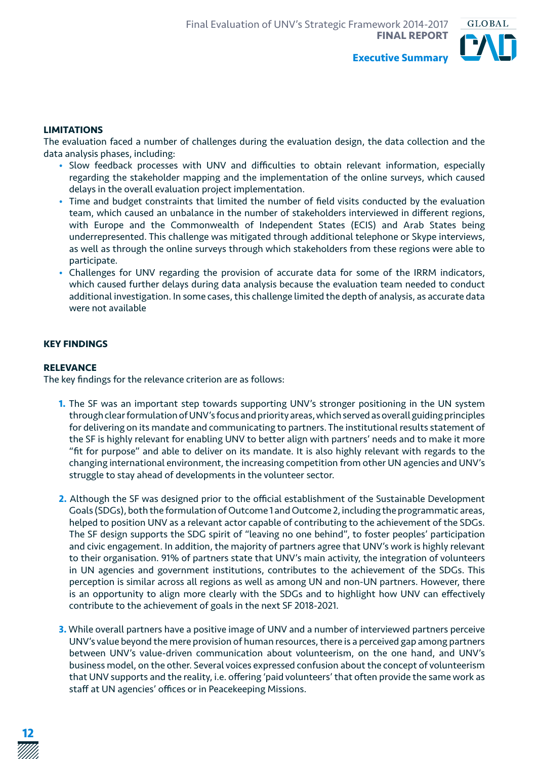

#### **LIMITATIONS**

The evaluation faced a number of challenges during the evaluation design, the data collection and the data analysis phases, including:

- Slow feedback processes with UNV and difficulties to obtain relevant information, especially regarding the stakeholder mapping and the implementation of the online surveys, which caused delays in the overall evaluation project implementation.
- Time and budget constraints that limited the number of field visits conducted by the evaluation team, which caused an unbalance in the number of stakeholders interviewed in different regions, with Europe and the Commonwealth of Independent States (ECIS) and Arab States being underrepresented. This challenge was mitigated through additional telephone or Skype interviews, as well as through the online surveys through which stakeholders from these regions were able to participate.
- Challenges for UNV regarding the provision of accurate data for some of the IRRM indicators, which caused further delays during data analysis because the evaluation team needed to conduct additional investigation. In some cases, this challenge limited the depth of analysis, as accurate data were not available

#### **KEY FINDINGS**

#### **RELEVANCE**

The key findings for the relevance criterion are as follows:

- **1.** The SF was an important step towards supporting UNV's stronger positioning in the UN system through clear formulation of UNV's focus and priority areas, which served as overall guiding principles for delivering on its mandate and communicating to partners. The institutional results statement of the SF is highly relevant for enabling UNV to better align with partners' needs and to make it more "fit for purpose" and able to deliver on its mandate. It is also highly relevant with regards to the changing international environment, the increasing competition from other UN agencies and UNV's struggle to stay ahead of developments in the volunteer sector.
- **2.** Although the SF was designed prior to the official establishment of the Sustainable Development Goals (SDGs), both the formulation of Outcome 1 and Outcome 2, including the programmatic areas, helped to position UNV as a relevant actor capable of contributing to the achievement of the SDGs. The SF design supports the SDG spirit of "leaving no one behind", to foster peoples' participation and civic engagement. In addition, the majority of partners agree that UNV's work is highly relevant to their organisation. 91% of partners state that UNV's main activity, the integration of volunteers in UN agencies and government institutions, contributes to the achievement of the SDGs. This perception is similar across all regions as well as among UN and non-UN partners. However, there is an opportunity to align more clearly with the SDGs and to highlight how UNV can effectively contribute to the achievement of goals in the next SF 2018-2021.
- **3.** While overall partners have a positive image of UNV and a number of interviewed partners perceive UNV's value beyond the mere provision of human resources, there is a perceived gap among partners between UNV's value-driven communication about volunteerism, on the one hand, and UNV's business model, on the other. Several voices expressed confusion about the concept of volunteerism that UNV supports and the reality, i.e. offering 'paid volunteers' that often provide the same work as staff at UN agencies' offices or in Peacekeeping Missions.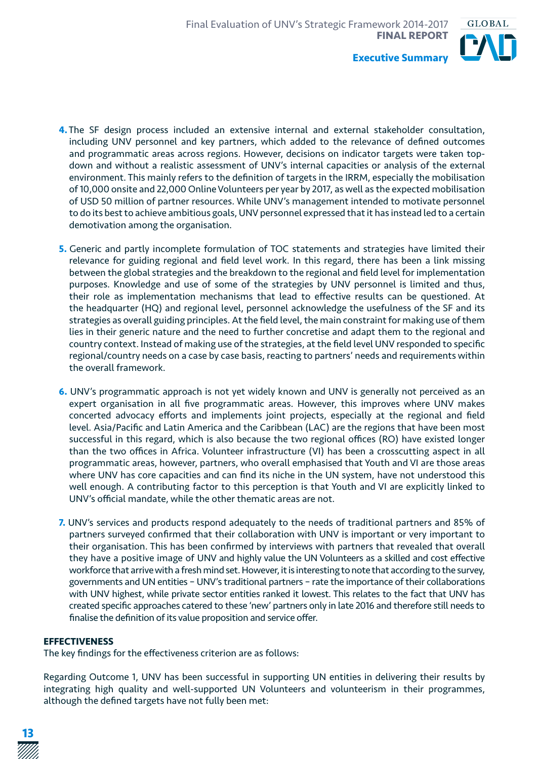

- **4.**The SF design process included an extensive internal and external stakeholder consultation, including UNV personnel and key partners, which added to the relevance of defined outcomes and programmatic areas across regions. However, decisions on indicator targets were taken topdown and without a realistic assessment of UNV's internal capacities or analysis of the external environment. This mainly refers to the definition of targets in the IRRM, especially the mobilisation of 10,000 onsite and 22,000 Online Volunteers per year by 2017, as well as the expected mobilisation of USD 50 million of partner resources. While UNV's management intended to motivate personnel to do its best to achieve ambitious goals, UNV personnel expressed that it has instead led to a certain demotivation among the organisation.
- **5.** Generic and partly incomplete formulation of TOC statements and strategies have limited their relevance for guiding regional and field level work. In this regard, there has been a link missing between the global strategies and the breakdown to the regional and field level for implementation purposes. Knowledge and use of some of the strategies by UNV personnel is limited and thus, their role as implementation mechanisms that lead to effective results can be questioned. At the headquarter (HQ) and regional level, personnel acknowledge the usefulness of the SF and its strategies as overall guiding principles. At the field level, the main constraint for making use of them lies in their generic nature and the need to further concretise and adapt them to the regional and country context. Instead of making use of the strategies, at the field level UNV responded to specific regional/country needs on a case by case basis, reacting to partners' needs and requirements within the overall framework.
- **6.** UNV's programmatic approach is not yet widely known and UNV is generally not perceived as an expert organisation in all five programmatic areas. However, this improves where UNV makes concerted advocacy efforts and implements joint projects, especially at the regional and field level. Asia/Pacific and Latin America and the Caribbean (LAC) are the regions that have been most successful in this regard, which is also because the two regional offices (RO) have existed longer than the two offices in Africa. Volunteer infrastructure (VI) has been a crosscutting aspect in all programmatic areas, however, partners, who overall emphasised that Youth and VI are those areas where UNV has core capacities and can find its niche in the UN system, have not understood this well enough. A contributing factor to this perception is that Youth and VI are explicitly linked to UNV's official mandate, while the other thematic areas are not.
- **7.** UNV's services and products respond adequately to the needs of traditional partners and 85% of partners surveyed confirmed that their collaboration with UNV is important or very important to their organisation. This has been confirmed by interviews with partners that revealed that overall they have a positive image of UNV and highly value the UN Volunteers as a skilled and cost effective workforce that arrive with a fresh mind set. However, it is interesting to note that according to the survey, governments and UN entities – UNV's traditional partners – rate the importance of their collaborations with UNV highest, while private sector entities ranked it lowest. This relates to the fact that UNV has created specific approaches catered to these 'new' partners only in late 2016 and therefore still needs to finalise the definition of its value proposition and service offer.

#### **EFFECTIVENESS**

The key findings for the effectiveness criterion are as follows:

Regarding Outcome 1, UNV has been successful in supporting UN entities in delivering their results by integrating high quality and well-supported UN Volunteers and volunteerism in their programmes, although the defined targets have not fully been met: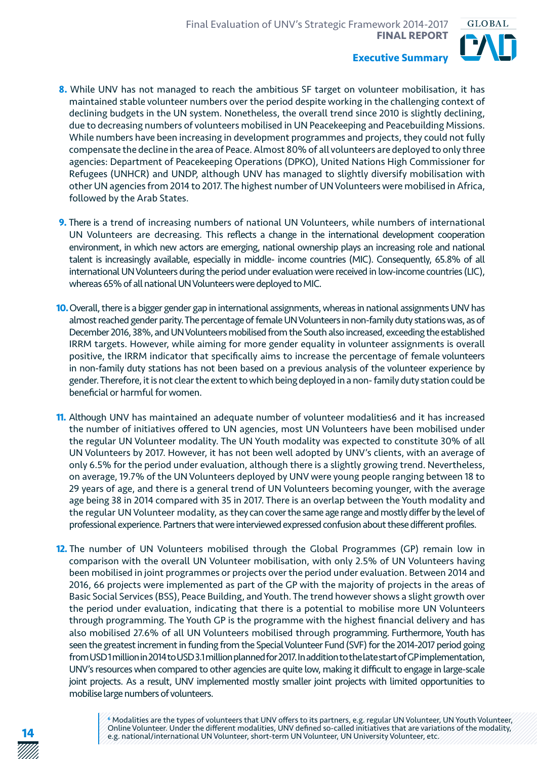

- **8.** While UNV has not managed to reach the ambitious SF target on volunteer mobilisation, it has maintained stable volunteer numbers over the period despite working in the challenging context of declining budgets in the UN system. Nonetheless, the overall trend since 2010 is slightly declining, due to decreasing numbers of volunteers mobilised in UN Peacekeeping and Peacebuilding Missions. While numbers have been increasing in development programmes and projects, they could not fully compensate the decline in the area of Peace. Almost 80% of all volunteers are deployed to only three agencies: Department of Peacekeeping Operations (DPKO), United Nations High Commissioner for Refugees (UNHCR) and UNDP, although UNV has managed to slightly diversify mobilisation with other UN agencies from 2014 to 2017. The highest number of UN Volunteers were mobilised in Africa, followed by the Arab States.
- **9.** There is a trend of increasing numbers of national UN Volunteers, while numbers of international UN Volunteers are decreasing. This reflects a change in the international development cooperation environment, in which new actors are emerging, national ownership plays an increasing role and national talent is increasingly available, especially in middle- income countries (MIC). Consequently, 65.8% of all international UN Volunteers during the period under evaluation were received in low-income countries (LIC), whereas 65% of all national UN Volunteers were deployed to MIC.
- **10.** Overall, there is a bigger gender gap in international assignments, whereas in national assignments UNV has almost reached gender parity. The percentage of female UN Volunteers in non-family duty stations was, as of December 2016, 38%, and UN Volunteers mobilised from the South also increased, exceeding the established IRRM targets. However, while aiming for more gender equality in volunteer assignments is overall positive, the IRRM indicator that specifically aims to increase the percentage of female volunteers in non-family duty stations has not been based on a previous analysis of the volunteer experience by gender. Therefore, it is not clear the extent to which being deployed in a non- family duty station could be beneficial or harmful for women.
- **11.** Although UNV has maintained an adequate number of volunteer modalities6 and it has increased the number of initiatives offered to UN agencies, most UN Volunteers have been mobilised under the regular UN Volunteer modality. The UN Youth modality was expected to constitute 30% of all UN Volunteers by 2017. However, it has not been well adopted by UNV's clients, with an average of only 6.5% for the period under evaluation, although there is a slightly growing trend. Nevertheless, on average, 19.7% of the UN Volunteers deployed by UNV were young people ranging between 18 to 29 years of age, and there is a general trend of UN Volunteers becoming younger, with the average age being 38 in 2014 compared with 35 in 2017. There is an overlap between the Youth modality and the regular UN Volunteer modality, as they can cover the same age range and mostly differ by the level of professional experience. Partners that were interviewed expressed confusion about these different profiles.
- **12.** The number of UN Volunteers mobilised through the Global Programmes (GP) remain low in comparison with the overall UN Volunteer mobilisation, with only 2.5% of UN Volunteers having been mobilised in joint programmes or projects over the period under evaluation. Between 2014 and 2016, 66 projects were implemented as part of the GP with the majority of projects in the areas of Basic Social Services (BSS), Peace Building, and Youth. The trend however shows a slight growth over the period under evaluation, indicating that there is a potential to mobilise more UN Volunteers through programming. The Youth GP is the programme with the highest financial delivery and has also mobilised 27.6% of all UN Volunteers mobilised through programming. Furthermore, Youth has seen the greatest increment in funding from the Special Volunteer Fund (SVF) for the 2014-2017 period going from USD 1 million in 2014 to USD 3.1 million planned for 2017. In addition to the late start of GP implementation, UNV's resources when compared to other agencies are quite low, making it difficult to engage in large-scale joint projects. As a result, UNV implemented mostly smaller joint projects with limited opportunities to mobilise large numbers of volunteers.

**14**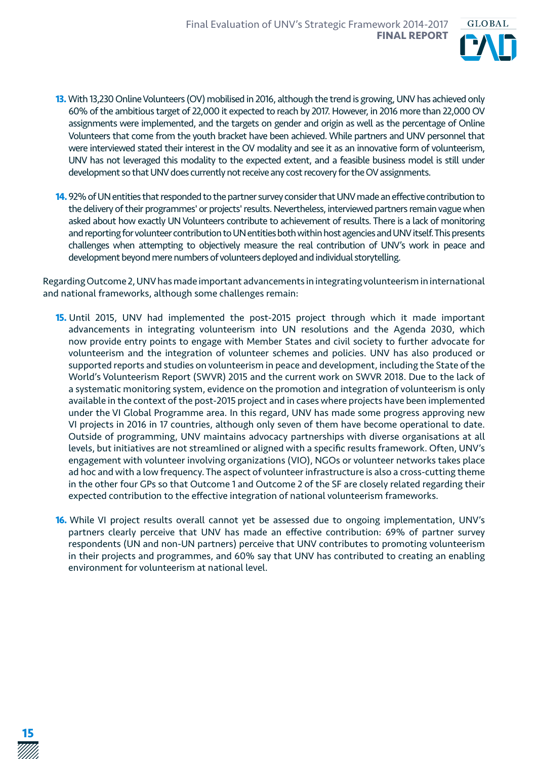

- **13.** With 13,230 Online Volunteers (OV) mobilised in 2016, although the trend is growing, UNV has achieved only 60% of the ambitious target of 22,000 it expected to reach by 2017. However, in 2016 more than 22,000 OV assignments were implemented, and the targets on gender and origin as well as the percentage of Online Volunteers that come from the youth bracket have been achieved. While partners and UNV personnel that were interviewed stated their interest in the OV modality and see it as an innovative form of volunteerism, UNV has not leveraged this modality to the expected extent, and a feasible business model is still under development so that UNV does currently not receive any cost recovery for the OV assignments.
- **14.** 92% of UN entities that responded to the partner survey consider that UNV made an effective contribution to the delivery of their programmes' or projects' results. Nevertheless, interviewed partners remain vague when asked about how exactly UN Volunteers contribute to achievement of results. There is a lack of monitoring and reporting for volunteer contribution to UN entities both within host agencies and UNV itself. This presents challenges when attempting to objectively measure the real contribution of UNV's work in peace and development beyond mere numbers of volunteers deployed and individual storytelling.

Regarding Outcome 2, UNV has made important advancements in integrating volunteerism in international and national frameworks, although some challenges remain:

- **15.** Until 2015, UNV had implemented the post-2015 project through which it made important advancements in integrating volunteerism into UN resolutions and the Agenda 2030, which now provide entry points to engage with Member States and civil society to further advocate for volunteerism and the integration of volunteer schemes and policies. UNV has also produced or supported reports and studies on volunteerism in peace and development, including the State of the World's Volunteerism Report (SWVR) 2015 and the current work on SWVR 2018. Due to the lack of a systematic monitoring system, evidence on the promotion and integration of volunteerism is only available in the context of the post-2015 project and in cases where projects have been implemented under the VI Global Programme area. In this regard, UNV has made some progress approving new VI projects in 2016 in 17 countries, although only seven of them have become operational to date. Outside of programming, UNV maintains advocacy partnerships with diverse organisations at all levels, but initiatives are not streamlined or aligned with a specific results framework. Often, UNV's engagement with volunteer involving organizations (VIO), NGOs or volunteer networks takes place ad hoc and with a low frequency. The aspect of volunteer infrastructure is also a cross-cutting theme in the other four GPs so that Outcome 1 and Outcome 2 of the SF are closely related regarding their expected contribution to the effective integration of national volunteerism frameworks.
- **16.** While VI project results overall cannot yet be assessed due to ongoing implementation, UNV's partners clearly perceive that UNV has made an effective contribution: 69% of partner survey respondents (UN and non-UN partners) perceive that UNV contributes to promoting volunteerism in their projects and programmes, and 60% say that UNV has contributed to creating an enabling environment for volunteerism at national level.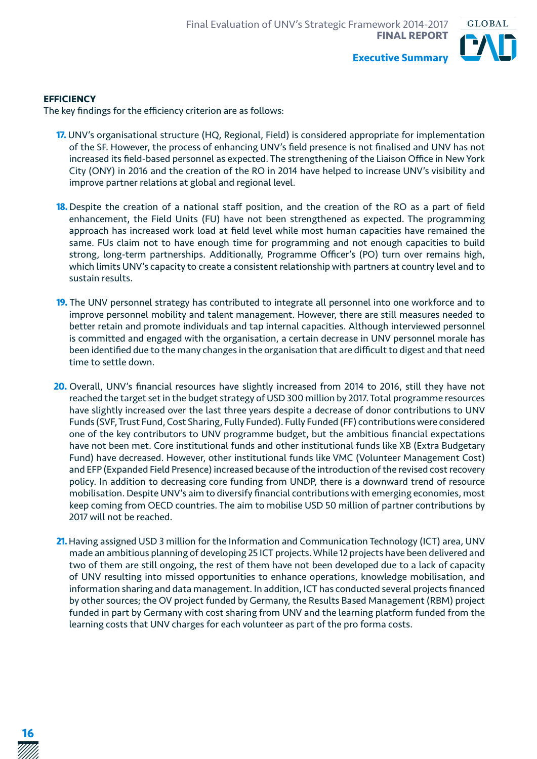

#### **EFFICIENCY**

The key findings for the efficiency criterion are as follows:

- **17.** UNV's organisational structure (HQ, Regional, Field) is considered appropriate for implementation of the SF. However, the process of enhancing UNV's field presence is not finalised and UNV has not increased its field-based personnel as expected. The strengthening of the Liaison Office in New York City (ONY) in 2016 and the creation of the RO in 2014 have helped to increase UNV's visibility and improve partner relations at global and regional level.
- **18.** Despite the creation of a national staff position, and the creation of the RO as a part of field enhancement, the Field Units (FU) have not been strengthened as expected. The programming approach has increased work load at field level while most human capacities have remained the same. FUs claim not to have enough time for programming and not enough capacities to build strong, long-term partnerships. Additionally, Programme Officer's (PO) turn over remains high, which limits UNV's capacity to create a consistent relationship with partners at country level and to sustain results.
- **19.** The UNV personnel strategy has contributed to integrate all personnel into one workforce and to improve personnel mobility and talent management. However, there are still measures needed to better retain and promote individuals and tap internal capacities. Although interviewed personnel is committed and engaged with the organisation, a certain decrease in UNV personnel morale has been identified due to the many changes in the organisation that are difficult to digest and that need time to settle down.
- **20.** Overall, UNV's financial resources have slightly increased from 2014 to 2016, still they have not reached the target set in the budget strategy of USD 300 million by 2017. Total programme resources have slightly increased over the last three years despite a decrease of donor contributions to UNV Funds (SVF, Trust Fund, Cost Sharing, Fully Funded). Fully Funded (FF) contributions were considered one of the key contributors to UNV programme budget, but the ambitious financial expectations have not been met. Core institutional funds and other institutional funds like XB (Extra Budgetary Fund) have decreased. However, other institutional funds like VMC (Volunteer Management Cost) and EFP (Expanded Field Presence) increased because of the introduction of the revised cost recovery policy. In addition to decreasing core funding from UNDP, there is a downward trend of resource mobilisation. Despite UNV's aim to diversify financial contributions with emerging economies, most keep coming from OECD countries. The aim to mobilise USD 50 million of partner contributions by 2017 will not be reached.
- **21.** Having assigned USD 3 million for the Information and Communication Technology (ICT) area, UNV made an ambitious planning of developing 25 ICT projects. While 12 projects have been delivered and two of them are still ongoing, the rest of them have not been developed due to a lack of capacity of UNV resulting into missed opportunities to enhance operations, knowledge mobilisation, and information sharing and data management. In addition, ICT has conducted several projects financed by other sources; the OV project funded by Germany, the Results Based Management (RBM) project funded in part by Germany with cost sharing from UNV and the learning platform funded from the learning costs that UNV charges for each volunteer as part of the pro forma costs.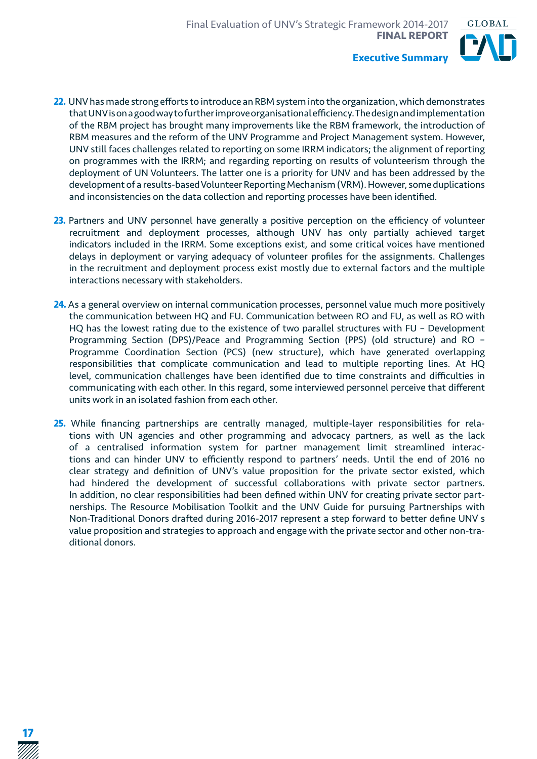

- **22.** UNV has made strong efforts to introduce an RBM system into the organization, which demonstrates that UNV is on a good way to further improve organisational efficiency. The design and implementation of the RBM project has brought many improvements like the RBM framework, the introduction of RBM measures and the reform of the UNV Programme and Project Management system. However, UNV still faces challenges related to reporting on some IRRM indicators; the alignment of reporting on programmes with the IRRM; and regarding reporting on results of volunteerism through the deployment of UN Volunteers. The latter one is a priority for UNV and has been addressed by the development of a results-based Volunteer Reporting Mechanism (VRM). However, some duplications and inconsistencies on the data collection and reporting processes have been identified.
	- 23. Partners and UNV personnel have generally a positive perception on the efficiency of volunteer recruitment and deployment processes, although UNV has only partially achieved target indicators included in the IRRM. Some exceptions exist, and some critical voices have mentioned delays in deployment or varying adequacy of volunteer profiles for the assignments. Challenges in the recruitment and deployment process exist mostly due to external factors and the multiple interactions necessary with stakeholders.
	- **24.** As a general overview on internal communication processes, personnel value much more positively the communication between HQ and FU. Communication between RO and FU, as well as RO with HQ has the lowest rating due to the existence of two parallel structures with FU – Development Programming Section (DPS)/Peace and Programming Section (PPS) (old structure) and RO – Programme Coordination Section (PCS) (new structure), which have generated overlapping responsibilities that complicate communication and lead to multiple reporting lines. At HQ level, communication challenges have been identified due to time constraints and difficulties in communicating with each other. In this regard, some interviewed personnel perceive that different units work in an isolated fashion from each other.
	- **25.** While financing partnerships are centrally managed, multiple-layer responsibilities for relations with UN agencies and other programming and advocacy partners, as well as the lack of a centralised information system for partner management limit streamlined interactions and can hinder UNV to efficiently respond to partners' needs. Until the end of 2016 no clear strategy and definition of UNV's value proposition for the private sector existed, which had hindered the development of successful collaborations with private sector partners. In addition, no clear responsibilities had been defined within UNV for creating private sector partnerships. The Resource Mobilisation Toolkit and the UNV Guide for pursuing Partnerships with Non-Traditional Donors drafted during 2016-2017 represent a step forward to better define UNV ́s value proposition and strategies to approach and engage with the private sector and other non-traditional donors.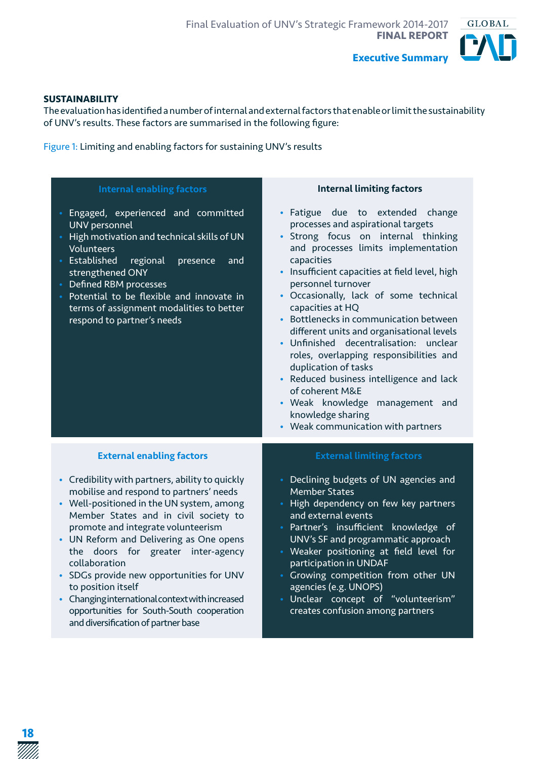

#### **SUSTAINABILITY**

The evaluation has identified a number of internal and external factors that enable or limit the sustainability of UNV's results. These factors are summarised in the following figure:

Figure 1: Limiting and enabling factors for sustaining UNV's results

| <b>Internal enabling factors</b>                                                                                                                                                                                                                                                                                                                                                                                                                                                                                                                                      | <b>Internal limiting factors</b>                                                                                                                                                                                                                                                                                                                                                                                                                                                                                                                                                                                                                                             |
|-----------------------------------------------------------------------------------------------------------------------------------------------------------------------------------------------------------------------------------------------------------------------------------------------------------------------------------------------------------------------------------------------------------------------------------------------------------------------------------------------------------------------------------------------------------------------|------------------------------------------------------------------------------------------------------------------------------------------------------------------------------------------------------------------------------------------------------------------------------------------------------------------------------------------------------------------------------------------------------------------------------------------------------------------------------------------------------------------------------------------------------------------------------------------------------------------------------------------------------------------------------|
| Engaged, experienced and committed<br><b>UNV</b> personnel<br>High motivation and technical skills of UN<br>Volunteers<br>Established<br>regional<br>presence<br>and<br>strengthened ONY<br>Defined RBM processes<br>Potential to be flexible and innovate in<br>terms of assignment modalities to better<br>respond to partner's needs                                                                                                                                                                                                                               | · Fatigue due to extended<br>change<br>processes and aspirational targets<br>· Strong focus on internal thinking<br>and processes limits implementation<br>capacities<br>• Insufficient capacities at field level, high<br>personnel turnover<br>· Occasionally, lack of some technical<br>capacities at HQ<br>• Bottlenecks in communication between<br>different units and organisational levels<br>· Unfinished decentralisation: unclear<br>roles, overlapping responsibilities and<br>duplication of tasks<br>• Reduced business intelligence and lack<br>of coherent M&E<br>· Weak knowledge management and<br>knowledge sharing<br>• Weak communication with partners |
| <b>External enabling factors</b><br>• Credibility with partners, ability to quickly<br>mobilise and respond to partners' needs<br>• Well-positioned in the UN system, among<br>Member States and in civil society to<br>promote and integrate volunteerism<br>• UN Reform and Delivering as One opens<br>the doors for greater inter-agency<br>collaboration<br>• SDGs provide new opportunities for UNV<br>to position itself<br>• Changing international context with increased<br>opportunities for South-South cooperation<br>and diversification of partner base | <b>External limiting factors</b><br>• Declining budgets of UN agencies and<br><b>Member States</b><br>• High dependency on few key partners<br>and external events<br>· Partner's insufficient knowledge of<br>UNV's SF and programmatic approach<br>Weaker positioning at field level for<br>participation in UNDAF<br>• Growing competition from other UN<br>agencies (e.g. UNOPS)<br>Unclear concept of "volunteerism"<br>creates confusion among partners                                                                                                                                                                                                                |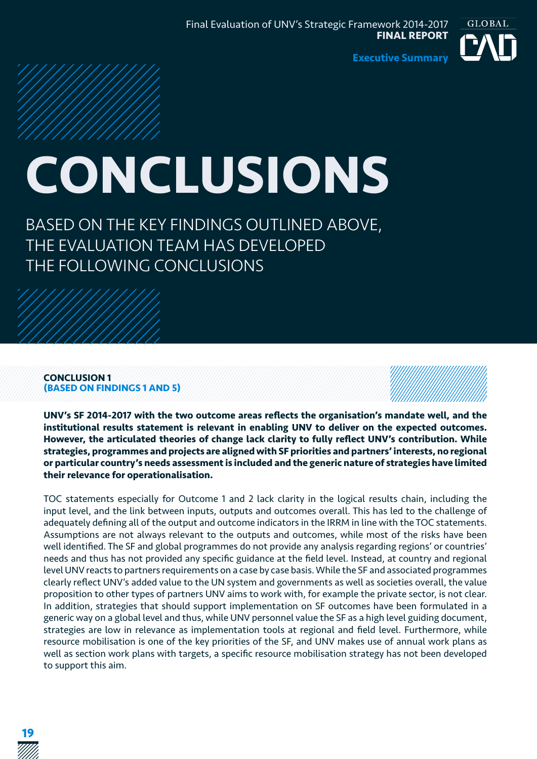

# **CONCLUSIONS**

BASED ON THE KEY FINDINGS OUTLINED ABOVE, THE EVALUATION TEAM HAS DEVELOPED THE FOLLOWING CONCLUSIONS

#### **CONCLUSION 1 (BASED ON FINDINGS 1 AND 5)**



**UNV's SF 2014-2017 with the two outcome areas reflects the organisation's mandate well, and the institutional results statement is relevant in enabling UNV to deliver on the expected outcomes. However, the articulated theories of change lack clarity to fully reflect UNV's contribution. While strategies, programmes and projects are aligned with SF priorities and partners' interests, no regional or particular country's needs assessment is included and the generic nature of strategies have limited their relevance for operationalisation.**

TOC statements especially for Outcome 1 and 2 lack clarity in the logical results chain, including the input level, and the link between inputs, outputs and outcomes overall. This has led to the challenge of adequately defining all of the output and outcome indicators in the IRRM in line with the TOC statements. Assumptions are not always relevant to the outputs and outcomes, while most of the risks have been well identified. The SF and global programmes do not provide any analysis regarding regions' or countries' needs and thus has not provided any specific guidance at the field level. Instead, at country and regional level UNV reacts to partners requirements on a case by case basis. While the SF and associated programmes clearly reflect UNV's added value to the UN system and governments as well as societies overall, the value proposition to other types of partners UNV aims to work with, for example the private sector, is not clear. In addition, strategies that should support implementation on SF outcomes have been formulated in a generic way on a global level and thus, while UNV personnel value the SF as a high level guiding document, strategies are low in relevance as implementation tools at regional and field level. Furthermore, while resource mobilisation is one of the key priorities of the SF, and UNV makes use of annual work plans as well as section work plans with targets, a specific resource mobilisation strategy has not been developed to support this aim.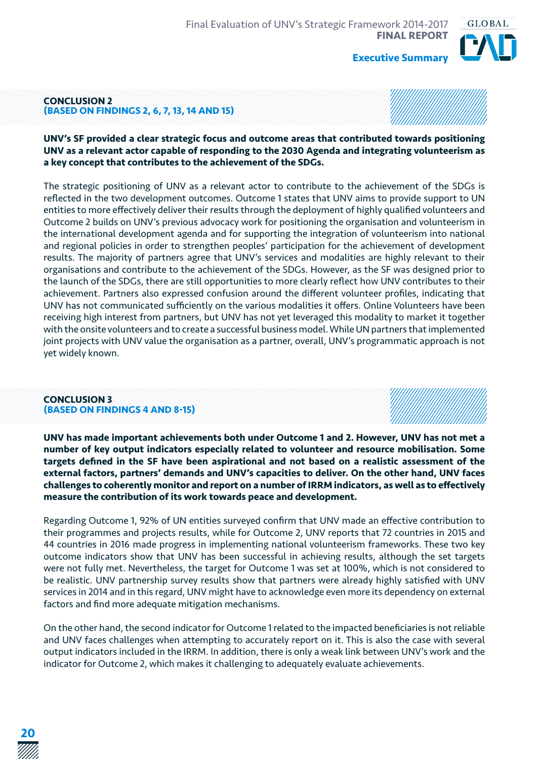

#### **CONCLUSION 2 (BASED ON FINDINGS 2, 6, 7, 13, 14 AND 15)**

#### **UNV's SF provided a clear strategic focus and outcome areas that contributed towards positioning UNV as a relevant actor capable of responding to the 2030 Agenda and integrating volunteerism as a key concept that contributes to the achievement of the SDGs.**

The strategic positioning of UNV as a relevant actor to contribute to the achievement of the SDGs is reflected in the two development outcomes. Outcome 1 states that UNV aims to provide support to UN entities to more effectively deliver their results through the deployment of highly qualified volunteers and Outcome 2 builds on UNV's previous advocacy work for positioning the organisation and volunteerism in the international development agenda and for supporting the integration of volunteerism into national and regional policies in order to strengthen peoples' participation for the achievement of development results. The majority of partners agree that UNV's services and modalities are highly relevant to their organisations and contribute to the achievement of the SDGs. However, as the SF was designed prior to the launch of the SDGs, there are still opportunities to more clearly reflect how UNV contributes to their achievement. Partners also expressed confusion around the different volunteer profiles, indicating that UNV has not communicated sufficiently on the various modalities it offers. Online Volunteers have been receiving high interest from partners, but UNV has not yet leveraged this modality to market it together with the onsite volunteers and to create a successful business model. While UN partners that implemented joint projects with UNV value the organisation as a partner, overall, UNV's programmatic approach is not yet widely known.

#### **CONCLUSION 3 (BASED ON FINDINGS 4 AND 8-15)**

**UNV has made important achievements both under Outcome 1 and 2. However, UNV has not met a number of key output indicators especially related to volunteer and resource mobilisation. Some targets defined in the SF have been aspirational and not based on a realistic assessment of the external factors, partners' demands and UNV's capacities to deliver. On the other hand, UNV faces challenges to coherently monitor and report on a number of IRRM indicators, as well as to effectively measure the contribution of its work towards peace and development.**

Regarding Outcome 1, 92% of UN entities surveyed confirm that UNV made an effective contribution to their programmes and projects results, while for Outcome 2, UNV reports that 72 countries in 2015 and 44 countries in 2016 made progress in implementing national volunteerism frameworks. These two key outcome indicators show that UNV has been successful in achieving results, although the set targets were not fully met. Nevertheless, the target for Outcome 1 was set at 100%, which is not considered to be realistic. UNV partnership survey results show that partners were already highly satisfied with UNV services in 2014 and in this regard, UNV might have to acknowledge even more its dependency on external factors and find more adequate mitigation mechanisms.

On the other hand, the second indicator for Outcome 1 related to the impacted beneficiaries is not reliable and UNV faces challenges when attempting to accurately report on it. This is also the case with several output indicators included in the IRRM. In addition, there is only a weak link between UNV's work and the indicator for Outcome 2, which makes it challenging to adequately evaluate achievements.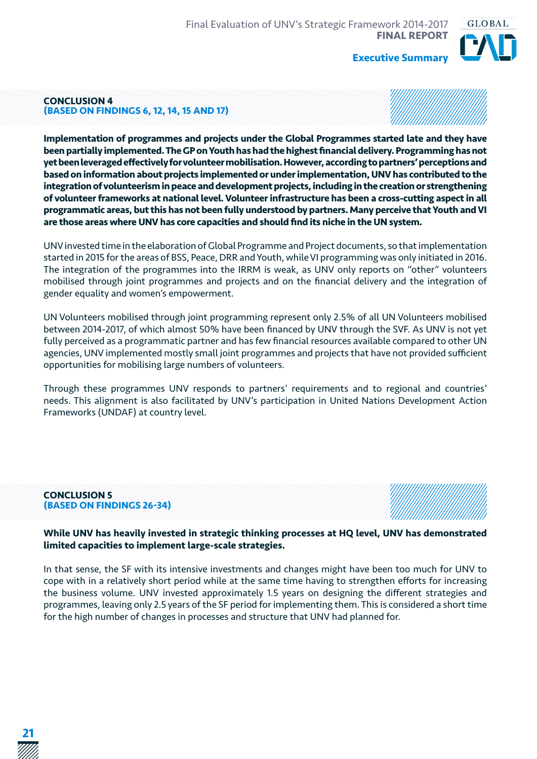

#### **CONCLUSION 4 (BASED ON FINDINGS 6, 12, 14, 15 AND 17)**

**Implementation of programmes and projects under the Global Programmes started late and they have been partially implemented. The GP on Youth has had the highest financial delivery. Programming has not yet been leveraged effectively for volunteer mobilisation. However, according to partners' perceptions and based on information about projects implemented or under implementation, UNV has contributed to the integration of volunteerism in peace and development projects, including in the creation or strengthening of volunteer frameworks at national level. Volunteer infrastructure has been a cross-cutting aspect in all programmatic areas, but this has not been fully understood by partners. Many perceive that Youth and VI are those areas where UNV has core capacities and should find its niche in the UN system.**

UNV invested time in the elaboration of Global Programme and Project documents, so that implementation started in 2015 for the areas of BSS, Peace, DRR and Youth, while VI programming was only initiated in 2016. The integration of the programmes into the IRRM is weak, as UNV only reports on "other" volunteers mobilised through joint programmes and projects and on the financial delivery and the integration of gender equality and women's empowerment.

UN Volunteers mobilised through joint programming represent only 2.5% of all UN Volunteers mobilised between 2014-2017, of which almost 50% have been financed by UNV through the SVF. As UNV is not yet fully perceived as a programmatic partner and has few financial resources available compared to other UN agencies, UNV implemented mostly small joint programmes and projects that have not provided sufficient opportunities for mobilising large numbers of volunteers.

Through these programmes UNV responds to partners' requirements and to regional and countries' needs. This alignment is also facilitated by UNV's participation in United Nations Development Action Frameworks (UNDAF) at country level.

#### **CONCLUSION 5 (BASED ON FINDINGS 26-34)**



#### **While UNV has heavily invested in strategic thinking processes at HQ level, UNV has demonstrated limited capacities to implement large-scale strategies.**

In that sense, the SF with its intensive investments and changes might have been too much for UNV to cope with in a relatively short period while at the same time having to strengthen efforts for increasing the business volume. UNV invested approximately 1.5 years on designing the different strategies and programmes, leaving only 2.5 years of the SF period for implementing them. This is considered a short time for the high number of changes in processes and structure that UNV had planned for.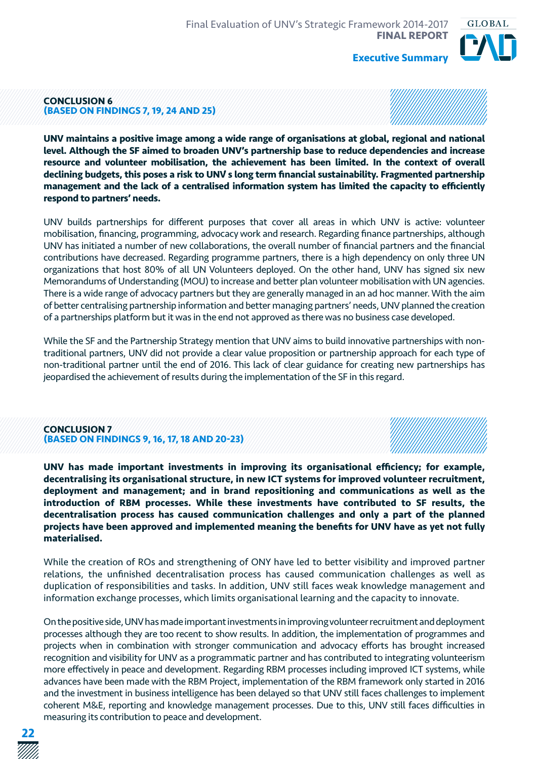

#### **CONCLUSION 6 (BASED ON FINDINGS 7, 19, 24 AND 25)**

**UNV maintains a positive image among a wide range of organisations at global, regional and national level. Although the SF aimed to broaden UNV's partnership base to reduce dependencies and increase resource and volunteer mobilisation, the achievement has been limited. In the context of overall declining budgets, this poses a risk to UNV ́s long term financial sustainability. Fragmented partnership management and the lack of a centralised information system has limited the capacity to efficiently respond to partners' needs.**

UNV builds partnerships for different purposes that cover all areas in which UNV is active: volunteer mobilisation, financing, programming, advocacy work and research. Regarding finance partnerships, although UNV has initiated a number of new collaborations, the overall number of financial partners and the financial contributions have decreased. Regarding programme partners, there is a high dependency on only three UN organizations that host 80% of all UN Volunteers deployed. On the other hand, UNV has signed six new Memorandums of Understanding (MOU) to increase and better plan volunteer mobilisation with UN agencies. There is a wide range of advocacy partners but they are generally managed in an ad hoc manner. With the aim of better centralising partnership information and better managing partners' needs, UNV planned the creation of a partnerships platform but it was in the end not approved as there was no business case developed.

While the SF and the Partnership Strategy mention that UNV aims to build innovative partnerships with nontraditional partners, UNV did not provide a clear value proposition or partnership approach for each type of non-traditional partner until the end of 2016. This lack of clear guidance for creating new partnerships has jeopardised the achievement of results during the implementation of the SF in this regard.

#### **CONCLUSION 7 (BASED ON FINDINGS 9, 16, 17, 18 AND 20-23)**

**UNV has made important investments in improving its organisational efficiency; for example, decentralising its organisational structure, in new ICT systems for improved volunteer recruitment, deployment and management; and in brand repositioning and communications as well as the introduction of RBM processes. While these investments have contributed to SF results, the decentralisation process has caused communication challenges and only a part of the planned projects have been approved and implemented meaning the benefits for UNV have as yet not fully materialised.**

While the creation of ROs and strengthening of ONY have led to better visibility and improved partner relations, the unfinished decentralisation process has caused communication challenges as well as duplication of responsibilities and tasks. In addition, UNV still faces weak knowledge management and information exchange processes, which limits organisational learning and the capacity to innovate.

On the positive side, UNV has made important investments in improving volunteer recruitment and deployment processes although they are too recent to show results. In addition, the implementation of programmes and projects when in combination with stronger communication and advocacy efforts has brought increased recognition and visibility for UNV as a programmatic partner and has contributed to integrating volunteerism more effectively in peace and development. Regarding RBM processes including improved ICT systems, while advances have been made with the RBM Project, implementation of the RBM framework only started in 2016 and the investment in business intelligence has been delayed so that UNV still faces challenges to implement coherent M&E, reporting and knowledge management processes. Due to this, UNV still faces difficulties in measuring its contribution to peace and development.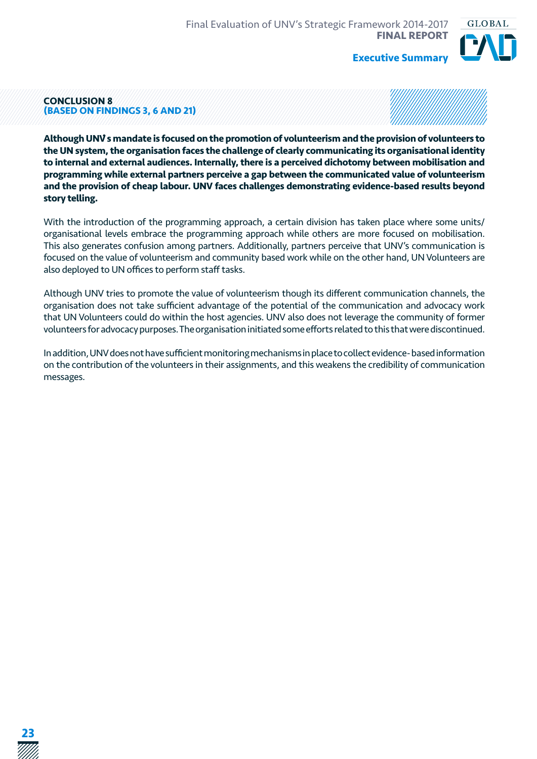

#### **CONCLUSION 8 (BASED ON FINDINGS 3, 6 AND 21)**

**Although UNV ́s mandate is focused on the promotion of volunteerism and the provision of volunteers to the UN system, the organisation faces the challenge of clearly communicating its organisational identity to internal and external audiences. Internally, there is a perceived dichotomy between mobilisation and programming while external partners perceive a gap between the communicated value of volunteerism and the provision of cheap labour. UNV faces challenges demonstrating evidence-based results beyond story telling.**

With the introduction of the programming approach, a certain division has taken place where some units/ organisational levels embrace the programming approach while others are more focused on mobilisation. This also generates confusion among partners. Additionally, partners perceive that UNV's communication is focused on the value of volunteerism and community based work while on the other hand, UN Volunteers are also deployed to UN offices to perform staff tasks.

Although UNV tries to promote the value of volunteerism though its different communication channels, the organisation does not take sufficient advantage of the potential of the communication and advocacy work that UN Volunteers could do within the host agencies. UNV also does not leverage the community of former volunteers for advocacy purposes. The organisation initiated some efforts related to this that were discontinued.

In addition, UNV does not have sufficient monitoring mechanisms in place to collect evidence- based information on the contribution of the volunteers in their assignments, and this weakens the credibility of communication messages.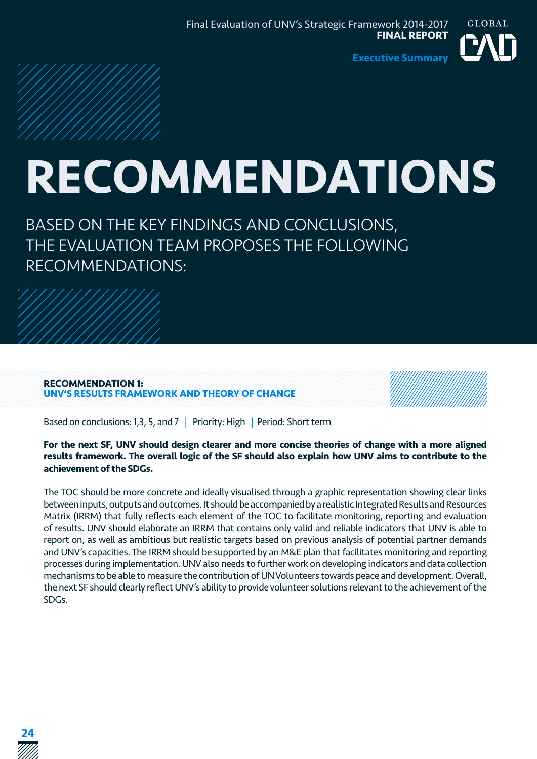

## **RECOMMENDATIONS**

BASED ON THE KEY FINDINGS AND CONCLUSIONS, THE EVALUATION TEAM PROPOSES THE FOLLOWING RECOMMENDATIONS:

#### **RECOMMENDATION 1: UNV'S RESULTS FRAMEWORK AND THEORY OF CHANGE**

**24**



Based on conclusions: 1.3, 5, and 7 | Priority: High | Period: Short term

#### **For the next SF, UNV should design clearer and more concise theories of change with a more aligned results framework. The overall logic of the SF should also explain how UNV aims to contribute to the achievement of the SDGs.**

The TOC should be more concrete and ideally visualised through a graphic representation showing clear links between inputs, outputs and outcomes. It should be accompanied by a realistic Integrated Results and Resources Matrix (IRRM) that fully reflects each element of the TOC to facilitate monitoring, reporting and evaluation of results. UNV should elaborate an IRRM that contains only valid and reliable indicators that UNV is able to report on, as well as ambitious but realistic targets based on previous analysis of potential partner demands and UNV's capacities. The IRRM should be supported by an M&E plan that facilitates monitoring and reporting processes during implementation. UNV also needs to further work on developing indicators and data collection mechanisms to be able to measure the contribution of UN Volunteers towards peace and development. Overall, the next SF should clearly reflect UNV's ability to provide volunteer solutions relevant to the achievement of the SDGs.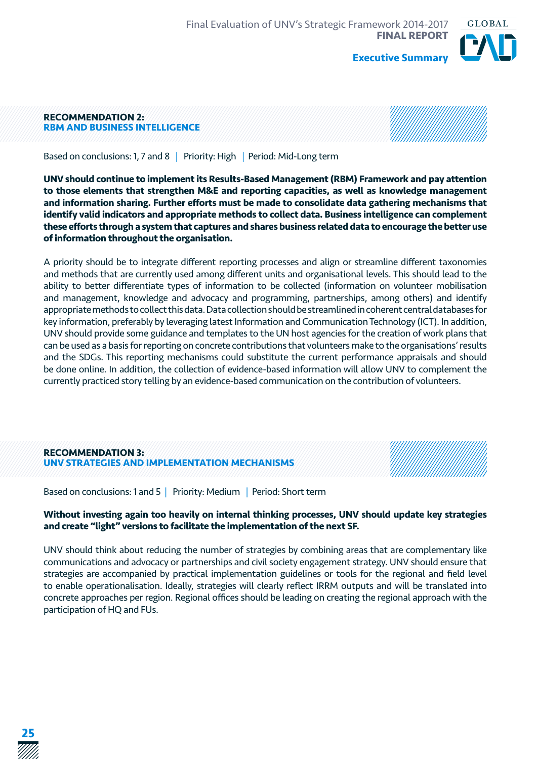

#### **RECOMMENDATION 2: RBM AND BUSINESS INTELLIGENCE**



Based on conclusions: 1, 7 and 8 | Priority: High | Period: Mid-Long term

**UNV should continue to implement its Results-Based Management (RBM) Framework and pay attention to those elements that strengthen M&E and reporting capacities, as well as knowledge management and information sharing. Further efforts must be made to consolidate data gathering mechanisms that identify valid indicators and appropriate methods to collect data. Business intelligence can complement these efforts through a system that captures and shares business related data to encourage the better use of information throughout the organisation.**

A priority should be to integrate different reporting processes and align or streamline different taxonomies and methods that are currently used among different units and organisational levels. This should lead to the ability to better differentiate types of information to be collected (information on volunteer mobilisation and management, knowledge and advocacy and programming, partnerships, among others) and identify appropriate methods to collect this data. Data collection should be streamlined in coherent central databases for key information, preferably by leveraging latest Information and Communication Technology (ICT). In addition, UNV should provide some guidance and templates to the UN host agencies for the creation of work plans that can be used as a basis for reporting on concrete contributions that volunteers make to the organisations' results and the SDGs. This reporting mechanisms could substitute the current performance appraisals and should be done online. In addition, the collection of evidence-based information will allow UNV to complement the currently practiced story telling by an evidence-based communication on the contribution of volunteers.

#### **RECOMMENDATION 3: UNV STRATEGIES AND IMPLEMENTATION MECHANISMS**

Based on conclusions: 1 and 5 | Priority: Medium | Period: Short term

#### **Without investing again too heavily on internal thinking processes, UNV should update key strategies and create "light" versions to facilitate the implementation of the next SF.**

UNV should think about reducing the number of strategies by combining areas that are complementary like communications and advocacy or partnerships and civil society engagement strategy. UNV should ensure that strategies are accompanied by practical implementation guidelines or tools for the regional and field level to enable operationalisation. Ideally, strategies will clearly reflect IRRM outputs and will be translated into concrete approaches per region. Regional offices should be leading on creating the regional approach with the participation of HQ and FUs.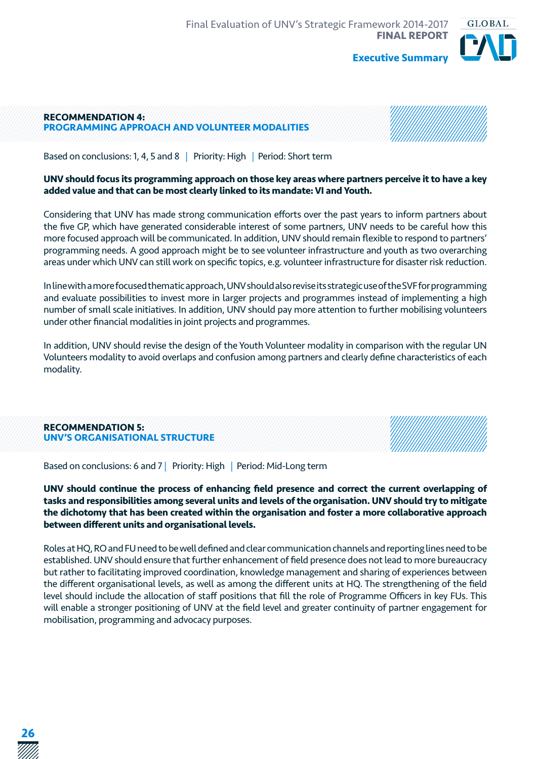GLOBAL

#### **RECOMMENDATION 4: PROGRAMMING APPROACH AND VOLUNTEER MODALITIES**



**Executive Summary**

Based on conclusions: 1, 4, 5 and 8 | Priority: High | Period: Short term

#### **UNV should focus its programming approach on those key areas where partners perceive it to have a key added value and that can be most clearly linked to its mandate: VI and Youth.**

Considering that UNV has made strong communication efforts over the past years to inform partners about the five GP, which have generated considerable interest of some partners, UNV needs to be careful how this more focused approach will be communicated. In addition, UNV should remain flexible to respond to partners' programming needs. A good approach might be to see volunteer infrastructure and youth as two overarching areas under which UNV can still work on specific topics, e.g. volunteer infrastructure for disaster risk reduction.

In line with a more focused thematic approach, UNV should also revise its strategic use of the SVF for programming and evaluate possibilities to invest more in larger projects and programmes instead of implementing a high number of small scale initiatives. In addition, UNV should pay more attention to further mobilising volunteers under other financial modalities in joint projects and programmes.

In addition, UNV should revise the design of the Youth Volunteer modality in comparison with the regular UN Volunteers modality to avoid overlaps and confusion among partners and clearly define characteristics of each modality.

| <b>RECOMMENDATION 5:</b><br>UNV'S ORGANISATIONAL STRUCTURE |  |
|------------------------------------------------------------|--|
|------------------------------------------------------------|--|

Based on conclusions: 6 and 7 | Priority: High | Period: Mid-Long term

**UNV should continue the process of enhancing field presence and correct the current overlapping of tasks and responsibilities among several units and levels of the organisation. UNV should try to mitigate the dichotomy that has been created within the organisation and foster a more collaborative approach between different units and organisational levels.**

Roles at HQ, RO and FU need to be well defined and clear communication channels and reporting lines need to be established. UNV should ensure that further enhancement of field presence does not lead to more bureaucracy but rather to facilitating improved coordination, knowledge management and sharing of experiences between the different organisational levels, as well as among the different units at HQ. The strengthening of the field level should include the allocation of staff positions that fill the role of Programme Officers in key FUs. This will enable a stronger positioning of UNV at the field level and greater continuity of partner engagement for mobilisation, programming and advocacy purposes.

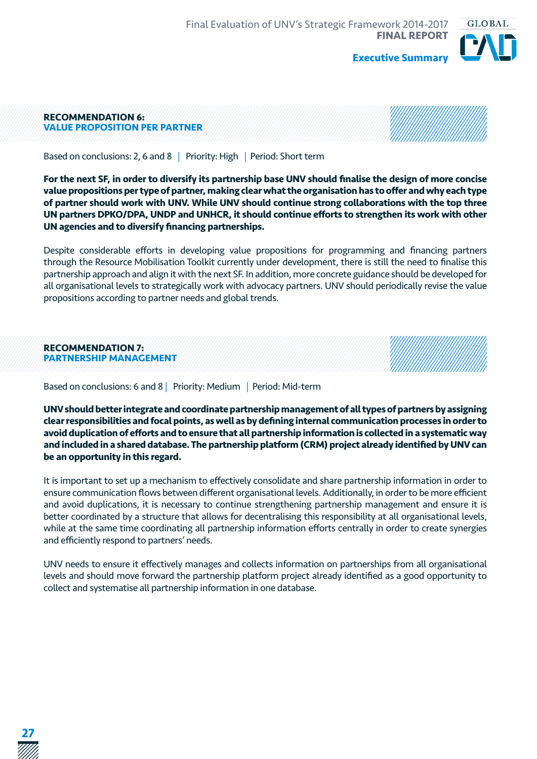

#### **RECOMMENDATION 6: VALUE PROPOSITION PER PARTNER**



Based on conclusions: 2, 6 and 8 | Priority: High | Period: Short term

**For the next SF, in order to diversify its partnership base UNV should finalise the design of more concise value propositions per type of partner, making clear what the organisation has to offer and why each type of partner should work with UNV. While UNV should continue strong collaborations with the top three UN partners DPKO/DPA, UNDP and UNHCR, it should continue efforts to strengthen its work with other UN agencies and to diversify financing partnerships.**

Despite considerable efforts in developing value propositions for programming and financing partners through the Resource Mobilisation Toolkit currently under development, there is still the need to finalise this partnership approach and align it with the next SF. In addition, more concrete guidance should be developed for all organisational levels to strategically work with advocacy partners. UNV should periodically revise the value propositions according to partner needs and global trends.

| <b>RECOMMENDATION 7:</b>      |  |
|-------------------------------|--|
| <b>PARTNERSHIP MANAGEMENT</b> |  |
|                               |  |

Based on conclusions: 6 and 8 | Priority: Medium | Period: Mid-term

**UNV should better integrate and coordinate partnership management of all types of partners by assigning clear responsibilities and focal points, as well as by defining internal communication processes in order to avoid duplication of efforts and to ensure that all partnership information is collected in a systematic way and included in a shared database. The partnership platform (CRM) project already identified by UNV can be an opportunity in this regard.**

It is important to set up a mechanism to effectively consolidate and share partnership information in order to ensure communication flows between different organisational levels. Additionally, in order to be more efficient and avoid duplications, it is necessary to continue strengthening partnership management and ensure it is better coordinated by a structure that allows for decentralising this responsibility at all organisational levels, while at the same time coordinating all partnership information efforts centrally in order to create synergies and efficiently respond to partners' needs.

UNV needs to ensure it effectively manages and collects information on partnerships from all organisational levels and should move forward the partnership platform project already identified as a good opportunity to collect and systematise all partnership information in one database.